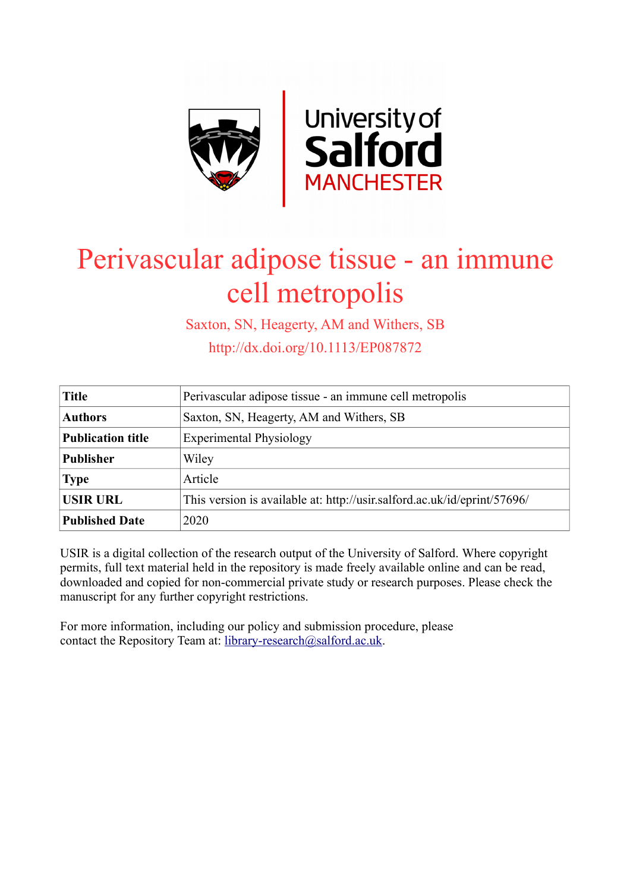

# Perivascular adipose tissue - an immune cell metropolis

Saxton, SN, Heagerty, AM and Withers, SB

http://dx.doi.org/10.1113/EP087872

| <b>Title</b>             | Perivascular adipose tissue - an immune cell metropolis                  |
|--------------------------|--------------------------------------------------------------------------|
| <b>Authors</b>           | Saxton, SN, Heagerty, AM and Withers, SB                                 |
| <b>Publication title</b> | <b>Experimental Physiology</b>                                           |
| <b>Publisher</b>         | Wiley                                                                    |
| <b>Type</b>              | Article                                                                  |
| <b>USIR URL</b>          | This version is available at: http://usir.salford.ac.uk/id/eprint/57696/ |
| <b>Published Date</b>    | 2020                                                                     |

USIR is a digital collection of the research output of the University of Salford. Where copyright permits, full text material held in the repository is made freely available online and can be read, downloaded and copied for non-commercial private study or research purposes. Please check the manuscript for any further copyright restrictions.

For more information, including our policy and submission procedure, please contact the Repository Team at: [library-research@salford.ac.uk.](mailto:library-research@salford.ac.uk)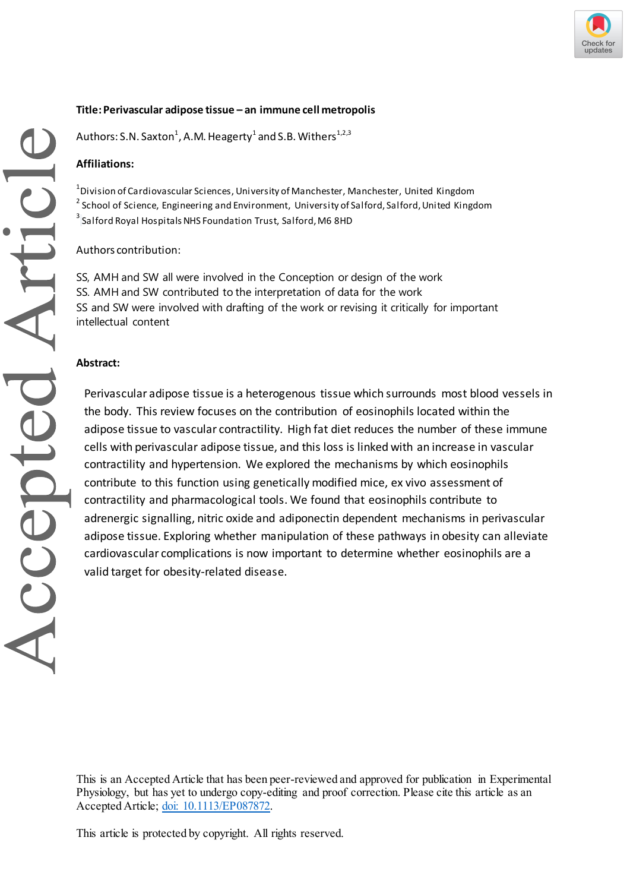

## **Title:Perivascular adipose tissue – an immune cell metropolis**

<code>Authors: S.N.</code> Saxton $^1$ , A.M. Heagerty $^1$  and S.B. Withers $^{\rm 1,2,3}$ 

#### **Affiliations:**

 $^{\rm 1}$ Division of Cardiovascular Sciences, University of Manchester, Manchester, United Kingdom  $^{2}$  School of Science, Engineering and Environment, University of Salford, Salford, United Kingdom  $^3$  Salford Royal Hospitals NHS Foundation Trust, Salford, M6 8HD

#### Authors contribution:

SS, AMH and SW all were involved in the Conception or design of the work SS. AMH and SW contributed to the interpretation of data for the work SS and SW were involved with drafting of the work or revising it critically for important intellectual content

#### **Abstract:**

Perivascular adipose tissue is a heterogenous tissue which surrounds most blood vessels in the body. This review focuses on the contribution of eosinophils located within the adipose tissue to vascular contractility. High fat diet reduces the number of these immune cells with perivascular adipose tissue, and this loss is linked with an increase in vascular contractility and hypertension. We explored the mechanisms by which eosinophils contribute to this function using genetically modified mice, ex vivo assessment of contractility and pharmacological tools. We found that eosinophils contribute to adrenergic signalling, nitric oxide and adiponectin dependent mechanisms in perivascular adipose tissue. Exploring whether manipulation of these pathways in obesity can alleviate cardiovascular complications is now important to determine whether eosinophils are a valid target for obesity-related disease.

This is an Accepted Article that has been peer-reviewed and approved for publication in Experimental Physiology, but has yet to undergo copy-editing and proof correction. Please cite this article as an Accepted Article[; doi: 10.1113/EP087872.](https://doi.org/10.1113/EP087872)

This article is protected by copyright. All rights reserved.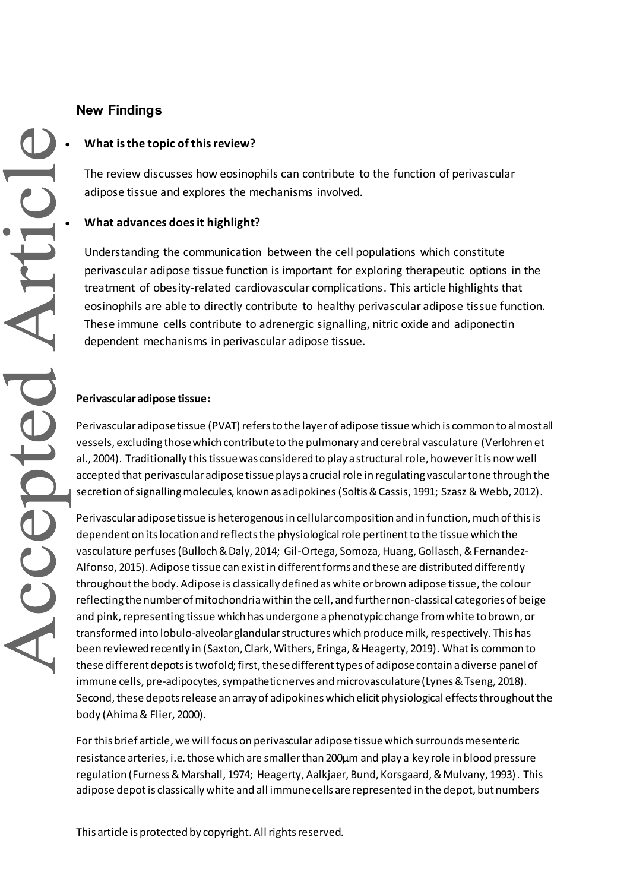# **New Findings**

## **What is the topic of this review?**

The review discusses how eosinophils can contribute to the function of perivascular adipose tissue and explores the mechanisms involved.

## **What advances does it highlight?**

Understanding the communication between the cell populations which constitute perivascular adipose tissue function is important for exploring therapeutic options in the treatment of obesity-related cardiovascular complications. This article highlights that eosinophils are able to directly contribute to healthy perivascular adipose tissue function. These immune cells contribute to adrenergic signalling, nitric oxide and adiponectin dependent mechanisms in perivascular adipose tissue.

## **Perivascular adipose tissue:**

Perivascular adipose tissue (PVAT) refers to the layer of adipose tissue which is common to almost all vessels, excluding those which contribute to the pulmonary and cerebral vasculature (Verlohren et al., 2004). Traditionally this tissuewas considered to play a structural role, however it is now well accepted that perivascular adipose tissue plays a crucial role in regulating vascular tone through the secretion of signalling molecules, known as adipokines (Soltis & Cassis, 1991; Szasz & Webb, 2012).

Perivascular adipose tissue is heterogenous in cellular composition and in function, much of this is dependent on its location and reflects the physiological role pertinent to the tissue which the vasculature perfuses(Bulloch & Daly, 2014; Gil-Ortega, Somoza, Huang, Gollasch, & Fernandez-Alfonso, 2015). Adipose tissue can exist in different forms and these are distributed differently throughout the body. Adipose is classically defined as white or brown adipose tissue, the colour reflecting the number of mitochondria within the cell, and further non-classical categories of beige and pink, representing tissue which has undergone a phenotypic change from white to brown, or transformed into lobulo-alveolar glandular structures which produce milk, respectively. This has been reviewed recently in (Saxton, Clark, Withers, Eringa, & Heagerty, 2019). What is common to these different depots is twofold; first, thesedifferent types of adiposecontain a diverse panel of immune cells, pre-adipocytes, sympathetic nerves and microvasculature (Lynes & Tseng, 2018). Second, these depots release an array of adipokines which elicit physiological effects throughout the body (Ahima & Flier, 2000).

For this brief article, we will focus on perivascular adipose tissuewhich surrounds mesenteric resistance arteries, i.e. those which are smaller than 200µm and play a key role in blood pressure regulation (Furness & Marshall, 1974; Heagerty, Aalkjaer, Bund, Korsgaard, & Mulvany, 1993). This adipose depot is classically white and all immune cells are represented in the depot, but numbers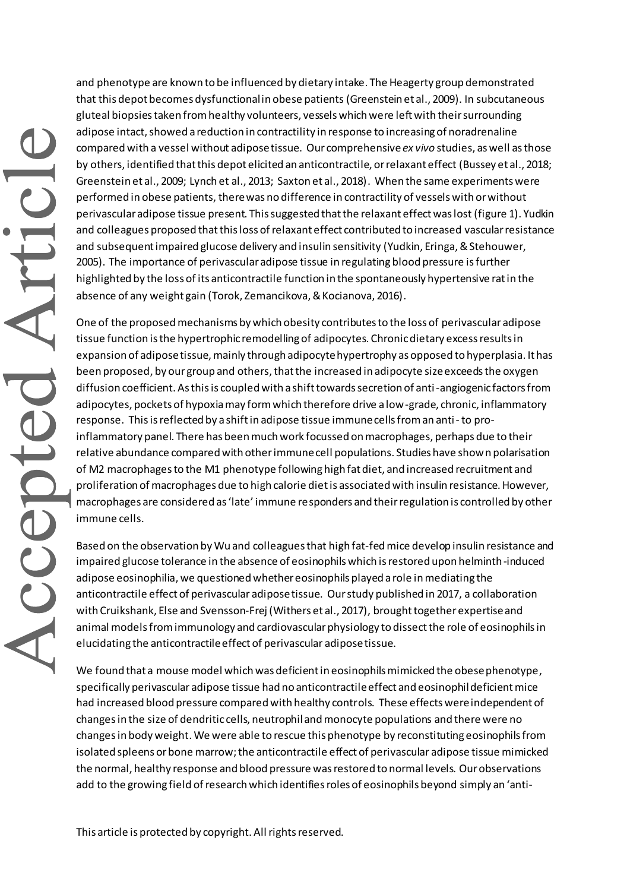and phenotype are known to be influenced by dietary intake. The Heagerty group demonstrated that this depot becomes dysfunctional in obese patients (Greenstein et al., 2009). In subcutaneous gluteal biopsies taken from healthy volunteers, vessels which were left with their surrounding adipose intact, showed a reduction in contractility in response to increasing of noradrenaline compared with a vessel without adipose tissue. Our comprehensive *ex vivo* studies, as well as those by others, identified that this depot elicited an anticontractile, or relaxant effect (Bussey et al., 2018; Greenstein et al., 2009; Lynch et al., 2013; Saxton et al., 2018). When the same experiments were performed in obese patients, there was no difference in contractility of vessels with or without perivascular adipose tissue present. This suggested that the relaxant effect was lost (figure 1). Yudkin and colleagues proposed that this loss of relaxant effect contributed to increased vascular resistance and subsequent impaired glucose delivery and insulin sensitivity (Yudkin, Eringa, & Stehouwer, 2005). The importance of perivascular adipose tissue in regulating blood pressure isfurther highlighted by the loss of its anticontractile function in the spontaneously hypertensive rat in the absence of any weight gain (Torok, Zemancikova, & Kocianova, 2016).

One of the proposed mechanisms by which obesity contributes to the loss of perivascular adipose tissue function is the hypertrophic remodelling of adipocytes. Chronic dietary excess results in expansion of adipose tissue, mainly through adipocyte hypertrophy as opposed to hyperplasia. It has been proposed, by our group and others, that the increased in adipocyte size exceeds the oxygen diffusion coefficient. As this is coupled with a shift towards secretion of anti-angiogenic factors from adipocytes, pockets of hypoxia may form which therefore drive a low-grade, chronic, inflammatory response. This is reflected by a shift in adipose tissue immune cells from an anti-to proinflammatory panel. There has been much work focussed on macrophages, perhaps due to their relative abundance compared with other immune cell populations. Studies have shown polarisation of M2 macrophages to the M1 phenotype following high fat diet, and increased recruitment and proliferation of macrophages due to high calorie diet is associated with insulin resistance. However, macrophages are considered as 'late' immune responders and their regulation is controlled by other immune cells.

Based on the observation by Wu and colleagues that high fat-fed mice develop insulin resistance and impaired glucose tolerance in the absence of eosinophils which is restored upon helminth-induced adipose eosinophilia, we questioned whether eosinophils played a role in mediating the anticontractile effect of perivascular adipose tissue. Our study published in 2017, a collaboration with Cruikshank, Else and Svensson-Frej (Withers et al., 2017), brought together expertise and animal models from immunology and cardiovascular physiology to dissect the role of eosinophils in elucidating the anticontractile effect of perivascular adipose tissue.

We found that a mouse model which was deficient in eosinophils mimicked the obese phenotype, specifically perivascular adipose tissue had no anticontractile effect and eosinophil deficient mice had increased blood pressure compared with healthy controls. These effects were independent of changes in the size of dendritic cells, neutrophil and monocyte populations and there were no changes in body weight. We were able to rescue this phenotype by reconstituting eosinophils from isolated spleens or bone marrow; the anticontractile effect of perivascular adipose tissue mimicked the normal, healthy response and blood pressure was restored to normal levels. Our observations add to the growing field of research which identifies roles of eosinophils beyond simply an 'anti-

This article is protected by copyright. All rights reserved.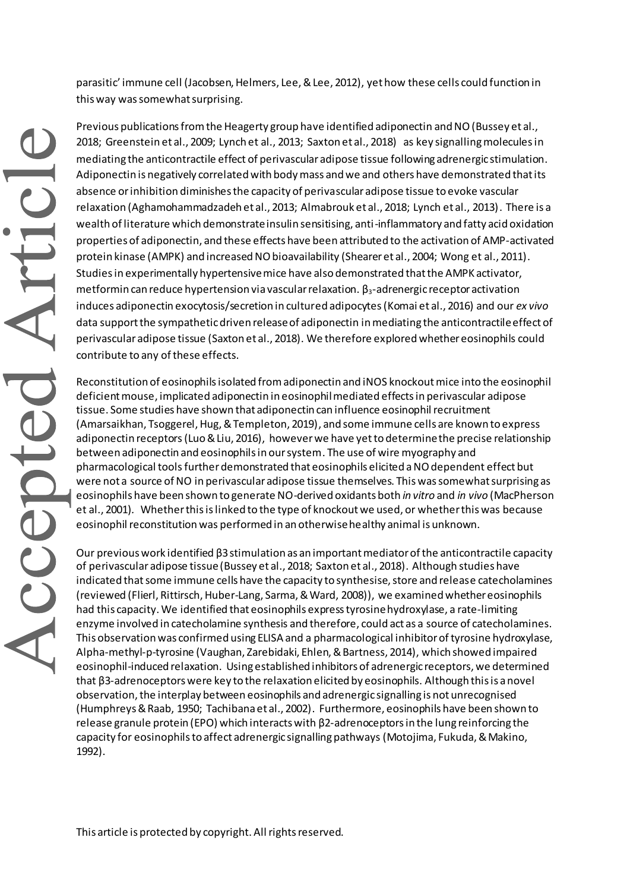parasitic' immune cell (Jacobsen, Helmers, Lee, & Lee, 2012), yet how these cells could function in this way was somewhat surprising.

Previous publications from the Heagerty group have identified adiponectin and NO(Bussey et al., 2018; Greenstein et al., 2009; Lynch et al., 2013; Saxton et al., 2018) as key signalling molecules in mediating the anticontractile effect of perivascular adipose tissue following adrenergic stimulation. Adiponectin is negatively correlated with body mass and we and others have demonstrated that its absence or inhibition diminishes the capacity of perivascular adipose tissue to evoke vascular relaxation (Aghamohammadzadeh et al., 2013; Almabrouk et al., 2018; Lynch et al., 2013). There is a wealth of literature which demonstrate insulin sensitising, anti-inflammatory and fatty acid oxidation properties of adiponectin, and these effects have been attributed to the activation of AMP-activated protein kinase (AMPK) and increased NO bioavailability (Shearer et al., 2004; Wong et al., 2011). Studies in experimentally hypertensive mice have also demonstrated that the AMPK activator, metformin can reduce hypertension via vascular relaxation.  $\beta_3$ -adrenergic receptor activation induces adiponectin exocytosis/secretion in cultured adipocytes (Komai et al., 2016) and our *ex vivo* data support the sympathetic driven release of adiponectin in mediating the anticontractile effect of perivascular adipose tissue (Saxton et al., 2018). We therefore explored whether eosinophils could contribute to any of these effects.

Reconstitution of eosinophils isolated fromadiponectin and iNOS knockout mice into the eosinophil deficient mouse, implicated adiponectin in eosinophil mediated effects in perivascular adipose tissue. Some studies have shown that adiponectin can influence eosinophil recruitment (Amarsaikhan, Tsoggerel, Hug, & Templeton, 2019), and some immune cells are known to express adiponectin receptors (Luo & Liu, 2016), however we have yet to determine the precise relationship between adiponectin and eosinophils in our system. The use of wire myography and pharmacological tools furtherdemonstrated that eosinophils elicited a NO dependent effect but were not a source of NO in perivascular adipose tissue themselves. This was somewhat surprising as eosinophils have been shown to generate NO-derived oxidants both *in vitro* and *in vivo* (MacPherson et al., 2001)*.* Whether this is linked to the type of knockout we used, or whether this was because eosinophil reconstitution was performed in an otherwise healthy animal is unknown.

Our previous work identified β3 stimulation as an important mediator of the anticontractile capacity of perivascular adipose tissue(Bussey et al., 2018; Saxton et al., 2018). Although studies have indicated that some immune cells have the capacity to synthesise, store and release catecholamines (reviewed (Flierl, Rittirsch, Huber-Lang, Sarma, & Ward, 2008)), we examined whether eosinophils had this capacity. We identified that eosinophils express tyrosine hydroxylase, a rate-limiting enzyme involved in catecholamine synthesis and therefore, could act as a source of catecholamines. This observation was confirmed using ELISA and a pharmacological inhibitor of tyrosine hydroxylase, Alpha-methyl-p-tyrosine (Vaughan, Zarebidaki, Ehlen, & Bartness, 2014), which showed impaired eosinophil-induced relaxation. Using established inhibitors of adrenergic receptors, we determined that β3-adrenoceptors were key to the relaxation elicited by eosinophils. Although this is a novel observation, the interplay between eosinophils and adrenergic signalling is not unrecognised (Humphreys & Raab, 1950; Tachibana et al., 2002). Furthermore, eosinophils have been shown to release granule protein (EPO) which interacts with β2-adrenoceptors in the lung reinforcing the capacity for eosinophils to affect adrenergic signalling pathways (Motojima, Fukuda, & Makino, 1992).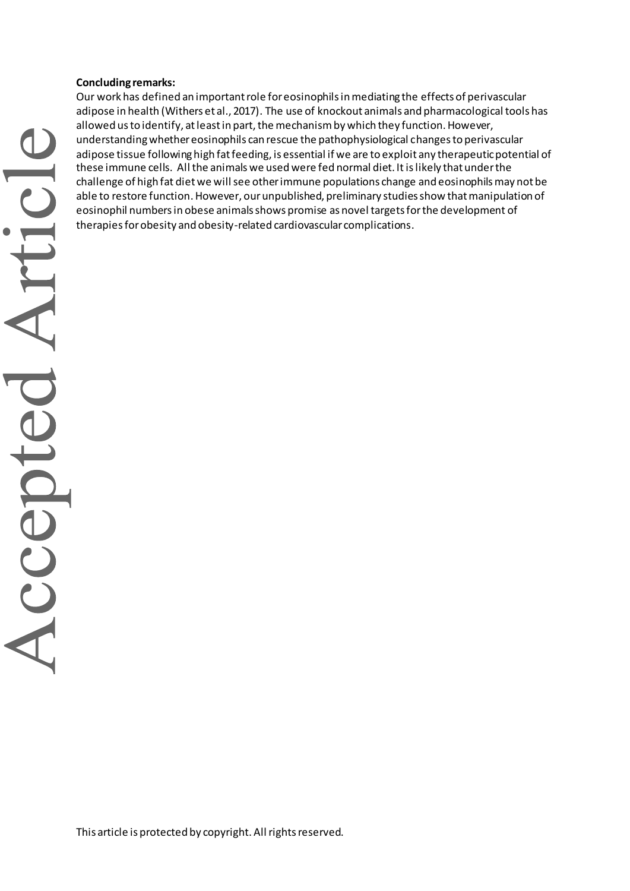## **Concluding remarks:**

Our work has defined an important role for eosinophils in mediating the effects of perivascular adipose in health (Withers et al., 2017). The use of knockout animals and pharmacological tools has allowed us to identify, at least in part, the mechanism by which they function. However, understanding whether eosinophils can rescue the pathophysiological changes to perivascular adipose tissue following high fat feeding, is essential if we are to exploit any therapeutic potential of these immune cells. All the animals we used were fed normal diet. It is likely that under the challenge of high fat dietwe will see other immune populations change and eosinophils may not be able to restore function. However, our unpublished, preliminary studies show that manipulation of eosinophil numbers in obese animals shows promise as novel targets for the development of therapies for obesity and obesity-related cardiovascular complications.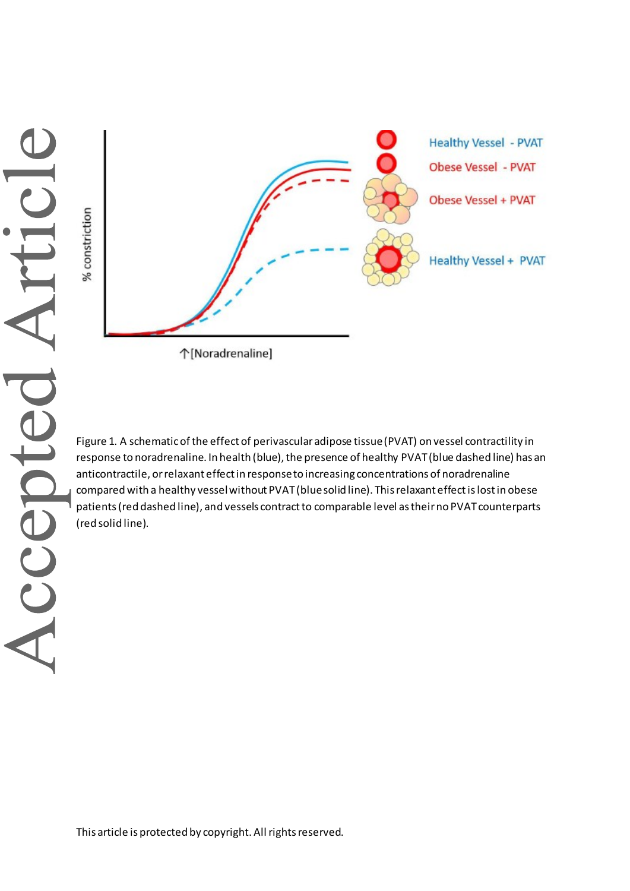% constriction



个[Noradrenaline]

Figure 1. A schematic of the effect of perivascular adipose tissue (PVAT) on vessel contractility in response to noradrenaline. In health (blue), the presence of healthy PVAT (blue dashed line) has an anticontractile, or relaxant effect in response to increasing concentrations of noradrenaline compared with a healthy vessel without PVAT (blue solid line). This relaxant effect is lost in obese patients (red dashed line), and vessels contract to comparable level as their no PVAT counterparts (red solid line).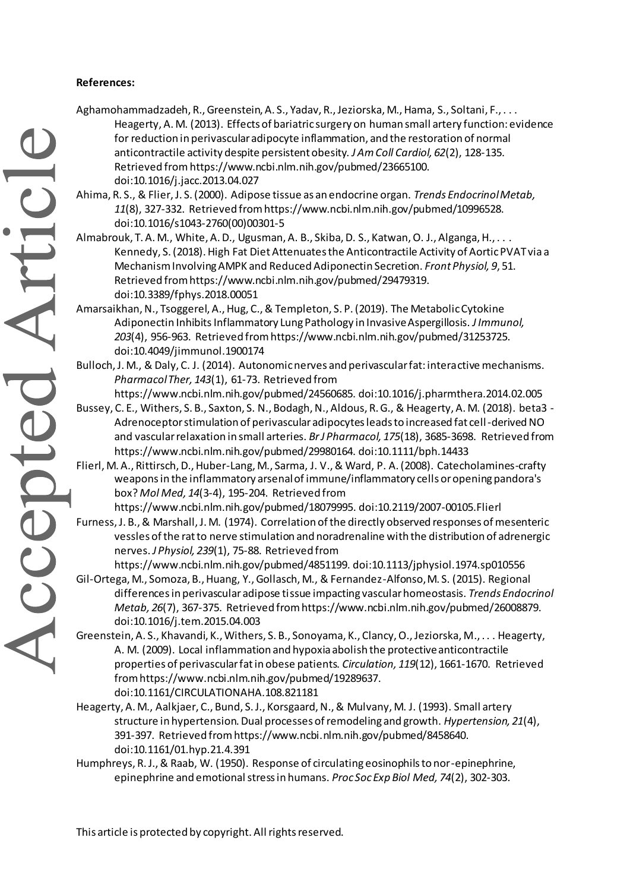## **References:**

- Aghamohammadzadeh, R., Greenstein, A. S., Yadav, R., Jeziorska, M., Hama, S., Soltani, F., . . . Heagerty, A. M. (2013). Effects of bariatric surgery on human small artery function: evidence for reduction in perivascular adipocyte inflammation, and the restoration of normal anticontractile activity despite persistent obesity. *J Am Coll Cardiol, 62*(2), 128-135. Retrieved from https://www.ncbi.nlm.nih.gov/pubmed/23665100. doi:10.1016/j.jacc.2013.04.027
	- Ahima, R. S., & Flier, J. S. (2000). Adipose tissue as an endocrine organ. *Trends Endocrinol Metab, 11*(8), 327-332. Retrieved from https://www.ncbi.nlm.nih.gov/pubmed/10996528. doi:10.1016/s1043-2760(00)00301-5
	- Almabrouk, T. A. M., White, A. D., Ugusman, A. B., Skiba, D. S., Katwan, O. J., Alganga, H., . . . Kennedy, S. (2018). High Fat Diet Attenuates the Anticontractile Activity of Aortic PVAT via a Mechanism Involving AMPK and Reduced Adiponectin Secretion. *Front Physiol, 9*, 51. Retrieved from https://www.ncbi.nlm.nih.gov/pubmed/29479319. doi:10.3389/fphys.2018.00051
	- Amarsaikhan, N., Tsoggerel, A., Hug, C., & Templeton, S. P. (2019). The Metabolic Cytokine Adiponectin Inhibits Inflammatory Lung Pathology in Invasive Aspergillosis. *J Immunol, 203*(4), 956-963. Retrieved from https://www.ncbi.nlm.nih.gov/pubmed/31253725. doi:10.4049/jimmunol.1900174
	- Bulloch, J. M., & Daly, C. J. (2014). Autonomic nerves and perivascular fat: interactive mechanisms. *Pharmacol Ther, 143*(1), 61-73. Retrieved from
		- https://www.ncbi.nlm.nih.gov/pubmed/24560685. doi:10.1016/j.pharmthera.2014.02.005
	- Bussey, C. E., Withers, S. B., Saxton, S. N., Bodagh, N., Aldous, R. G., & Heagerty, A. M. (2018). beta3 Adrenoceptor stimulation of perivascular adipocytes leads to increased fat cell-derived NO and vascular relaxation in small arteries. *Br J Pharmacol, 175*(18), 3685-3698. Retrieved from https://www.ncbi.nlm.nih.gov/pubmed/29980164. doi:10.1111/bph.14433
	- Flierl, M. A., Rittirsch, D., Huber-Lang, M., Sarma, J. V., & Ward, P. A. (2008). Catecholamines-crafty weapons in the inflammatory arsenal of immune/inflammatory cells or opening pandora's box? *Mol Med, 14*(3-4), 195-204. Retrieved from
	- https://www.ncbi.nlm.nih.gov/pubmed/18079995. doi:10.2119/2007-00105.Flierl Furness, J. B., & Marshall, J. M. (1974). Correlation of the directly observed responses of mesenteric vessles of the rat to nerve stimulation and noradrenaline with the distribution of adrenergic nerves. *J Physiol, 239*(1), 75-88. Retrieved from

https://www.ncbi.nlm.nih.gov/pubmed/4851199. doi:10.1113/jphysiol.1974.sp010556

- Gil-Ortega, M., Somoza, B., Huang, Y., Gollasch, M., & Fernandez-Alfonso, M. S. (2015). Regional differences in perivascular adipose tissue impacting vascular homeostasis. *Trends Endocrinol Metab, 26*(7), 367-375. Retrieved from https://www.ncbi.nlm.nih.gov/pubmed/26008879. doi:10.1016/j.tem.2015.04.003
- Greenstein, A. S., Khavandi, K., Withers, S. B., Sonoyama, K., Clancy, O., Jeziorska, M., . . . Heagerty, A. M. (2009). Local inflammation and hypoxia abolish the protective anticontractile properties of perivascular fat in obese patients. *Circulation, 119*(12), 1661-1670. Retrieved from https://www.ncbi.nlm.nih.gov/pubmed/19289637. doi:10.1161/CIRCULATIONAHA.108.821181
- Heagerty, A. M., Aalkjaer, C., Bund, S. J., Korsgaard, N., & Mulvany, M. J. (1993). Small artery structure in hypertension. Dual processes of remodeling and growth. *Hypertension, 21*(4), 391-397. Retrieved from https://www.ncbi.nlm.nih.gov/pubmed/8458640. doi:10.1161/01.hyp.21.4.391
- Humphreys, R. J., & Raab, W. (1950). Response of circulating eosinophils to nor-epinephrine, epinephrine and emotional stress in humans. *Proc Soc Exp Biol Med, 74*(2), 302-303.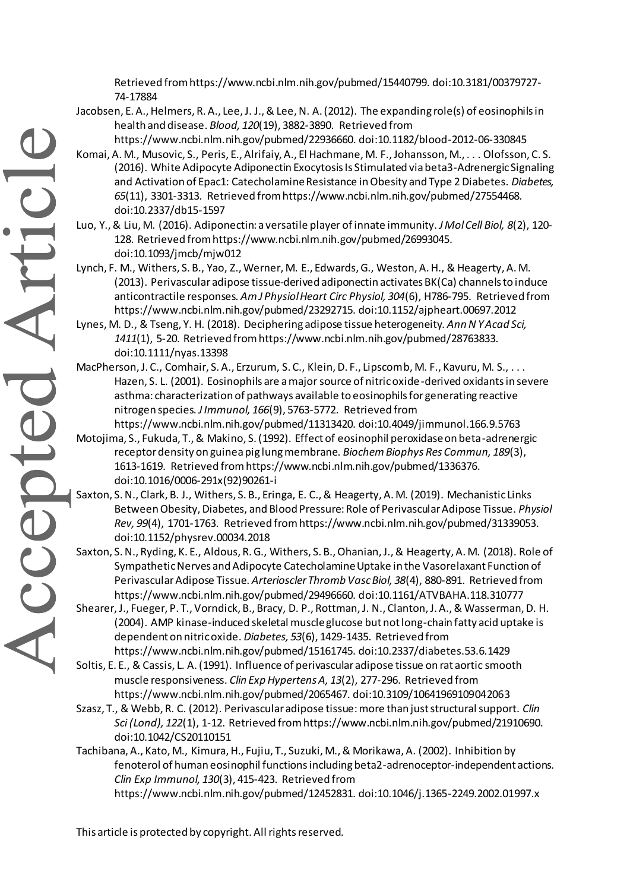Retrieved from https://www.ncbi.nlm.nih.gov/pubmed/15440799. doi:10.3181/00379727- 74-17884

- Jacobsen, E. A., Helmers, R. A., Lee, J. J., & Lee, N. A. (2012). The expanding role(s) of eosinophils in health and disease. *Blood, 120*(19), 3882-3890. Retrieved from
	- https://www.ncbi.nlm.nih.gov/pubmed/22936660. doi:10.1182/blood-2012-06-330845
- Komai, A. M., Musovic, S., Peris, E., Alrifaiy, A., El Hachmane, M. F., Johansson, M., . . . Olofsson, C. S. (2016). White Adipocyte Adiponectin Exocytosis Is Stimulated via beta3-Adrenergic Signaling and Activation of Epac1: Catecholamine Resistance in Obesity and Type 2 Diabetes. *Diabetes, 65*(11), 3301-3313. Retrieved from https://www.ncbi.nlm.nih.gov/pubmed/27554468. doi:10.2337/db15-1597
- Luo, Y., & Liu, M. (2016). Adiponectin: a versatile player of innate immunity. *J Mol Cell Biol, 8*(2), 120- 128. Retrieved from https://www.ncbi.nlm.nih.gov/pubmed/26993045. doi:10.1093/jmcb/mjw012
- Lynch, F. M., Withers, S. B., Yao, Z., Werner, M. E., Edwards, G., Weston, A. H., & Heagerty, A. M. (2013). Perivascular adipose tissue-derived adiponectin activates BK(Ca) channels to induce anticontractile responses. *Am J Physiol Heart Circ Physiol, 304*(6), H786-795. Retrieved from https://www.ncbi.nlm.nih.gov/pubmed/23292715. doi:10.1152/ajpheart.00697.2012
- Lynes, M. D., & Tseng, Y. H. (2018). Deciphering adipose tissue heterogeneity. *Ann N Y Acad Sci, 1411*(1), 5-20. Retrieved from https://www.ncbi.nlm.nih.gov/pubmed/28763833. doi:10.1111/nyas.13398
- MacPherson, J. C., Comhair, S. A., Erzurum, S. C., Klein, D. F., Lipscomb, M. F., Kavuru, M. S., . . . Hazen, S. L. (2001). Eosinophils are a major source of nitric oxide-derived oxidants in severe asthma: characterization of pathways available to eosinophils for generating reactive nitrogen species. *J Immunol, 166*(9), 5763-5772. Retrieved from
- https://www.ncbi.nlm.nih.gov/pubmed/11313420. doi:10.4049/jimmunol.166.9.5763 Motojima, S., Fukuda, T., & Makino, S. (1992). Effect of eosinophil peroxidase on beta-adrenergic receptor density on guinea pig lung membrane. *Biochem Biophys Res Commun, 189*(3), 1613-1619. Retrieved from https://www.ncbi.nlm.nih.gov/pubmed/1336376. doi:10.1016/0006-291x(92)90261-i
- Saxton, S. N., Clark, B. J., Withers, S. B., Eringa, E. C., & Heagerty, A. M. (2019). Mechanistic Links Between Obesity, Diabetes, and Blood Pressure: Role of Perivascular Adipose Tissue. *Physiol Rev, 99*(4), 1701-1763. Retrieved from https://www.ncbi.nlm.nih.gov/pubmed/31339053. doi:10.1152/physrev.00034.2018
- Saxton, S. N., Ryding, K. E., Aldous, R. G., Withers, S. B., Ohanian, J., & Heagerty, A. M. (2018). Role of Sympathetic Nerves and Adipocyte Catecholamine Uptake in the Vasorelaxant Function of Perivascular Adipose Tissue. *Arterioscler Thromb Vasc Biol, 38*(4), 880-891. Retrieved from https://www.ncbi.nlm.nih.gov/pubmed/29496660. doi:10.1161/ATVBAHA.118.310777
- Shearer, J., Fueger, P. T., Vorndick, B., Bracy, D. P., Rottman, J. N., Clanton, J. A., & Wasserman, D. H. (2004). AMP kinase-induced skeletal muscle glucose but not long-chain fatty acid uptake is dependent on nitric oxide. *Diabetes, 53*(6), 1429-1435. Retrieved from https://www.ncbi.nlm.nih.gov/pubmed/15161745. doi:10.2337/diabetes.53.6.1429
- Soltis, E. E., & Cassis, L. A. (1991). Influence of perivascular adipose tissue on rat aortic smooth muscle responsiveness. *Clin Exp Hypertens A, 13*(2), 277-296. Retrieved from https://www.ncbi.nlm.nih.gov/pubmed/2065467. doi:10.3109/10641969109042063
- Szasz, T., & Webb, R. C. (2012). Perivascular adipose tissue: more than just structural support. *Clin Sci (Lond), 122*(1), 1-12. Retrieved from https://www.ncbi.nlm.nih.gov/pubmed/21910690. doi:10.1042/CS20110151
- Tachibana, A., Kato, M., Kimura, H., Fujiu, T., Suzuki, M., & Morikawa, A. (2002). Inhibition by fenoterol of human eosinophil functions including beta2-adrenoceptor-independent actions. *Clin Exp Immunol, 130*(3), 415-423. Retrieved from
	- https://www.ncbi.nlm.nih.gov/pubmed/12452831. doi:10.1046/j.1365-2249.2002.01997.x